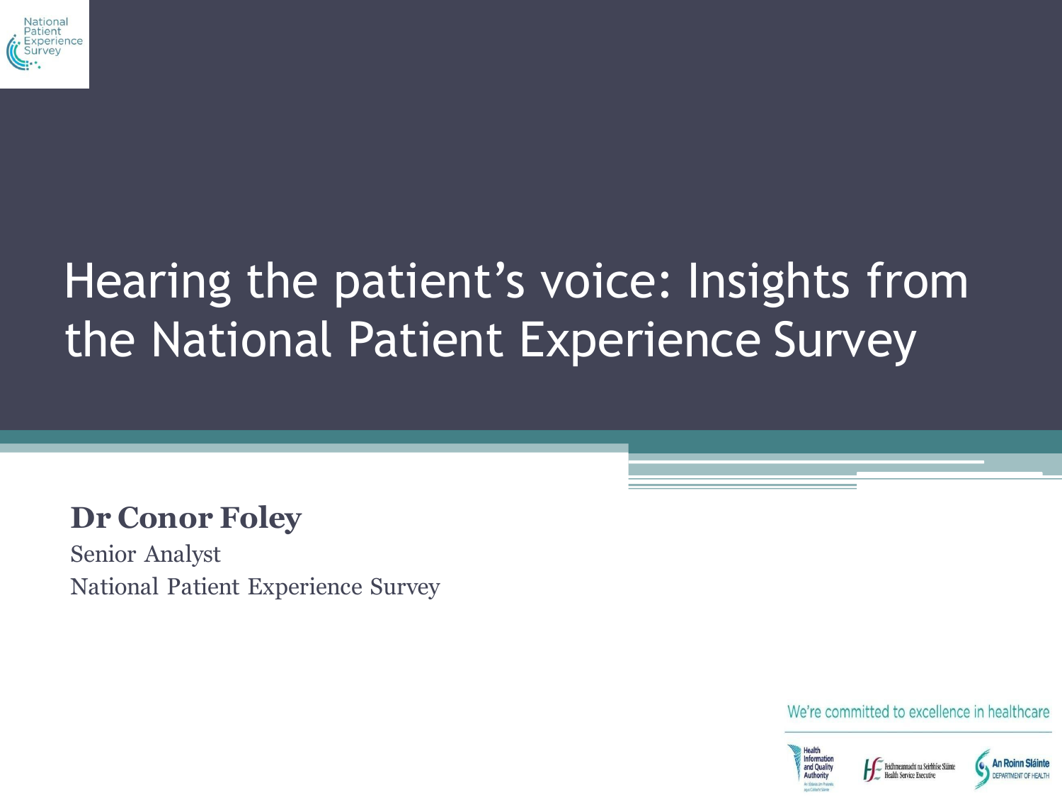

# Hearing the patient's voice: Insights from the National Patient Experience Survey

#### **Dr Conor Foley**

Senior Analyst National Patient Experience Survey

We're committed to excellence in healthcare

ealth Service Executive



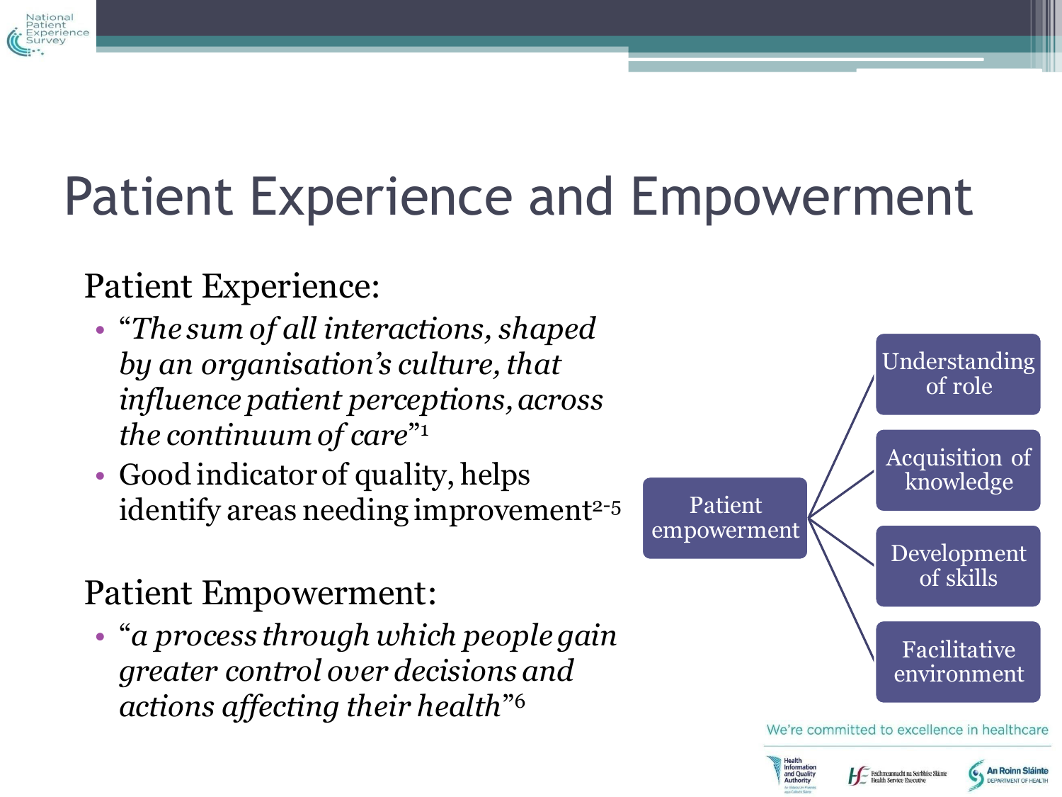

# Patient Experience and Empowerment

#### Patient Experience:

- "*The sum of all interactions, shaped by an organisation's culture, that influence patient perceptions, across the continuum of care*" 1
- Good indicator of quality, helps identify areas needing improvement<sup>2-5</sup>

#### Patient Empowerment:

• "*a process through which people gain greater control over decisions and actions affecting their health*" 6



**Health Service Executive**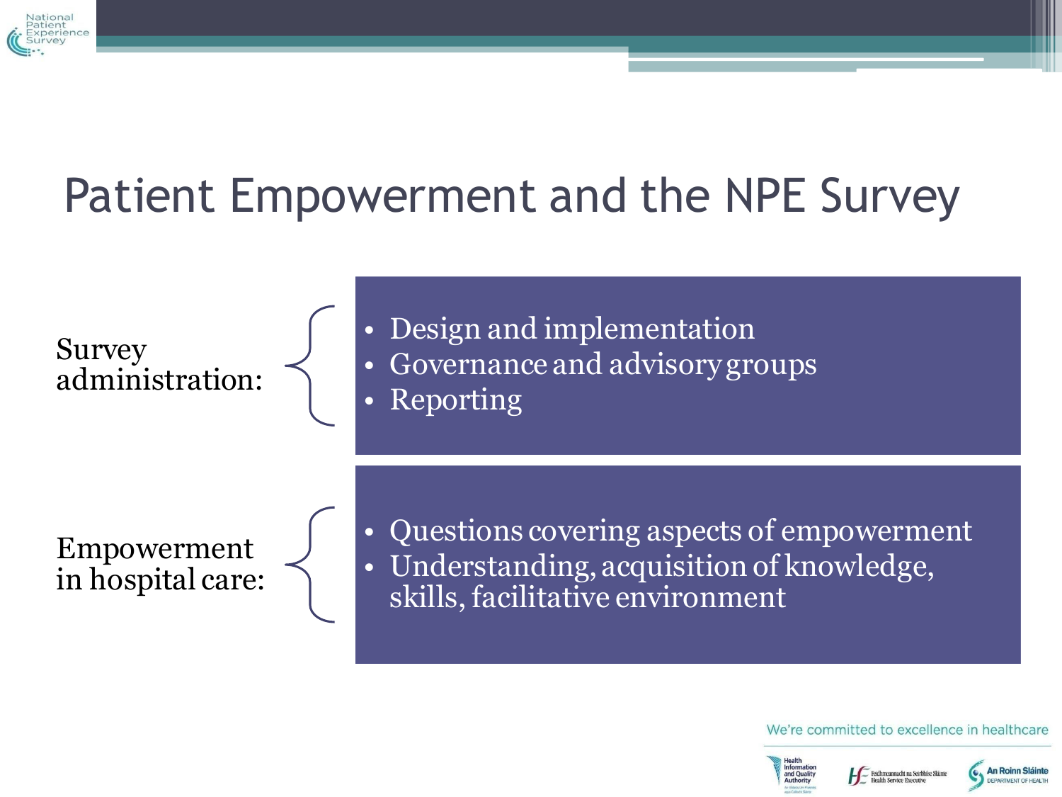

# Patient Empowerment and the NPE Survey

Survey administration: • Design and implementation

• Governance and advisory groups

• Reporting

Empowerment in hospital care: • Questions covering aspects of empowerment • Understanding, acquisition of knowledge, skills, facilitative environment

We're committed to excellence in healthcare



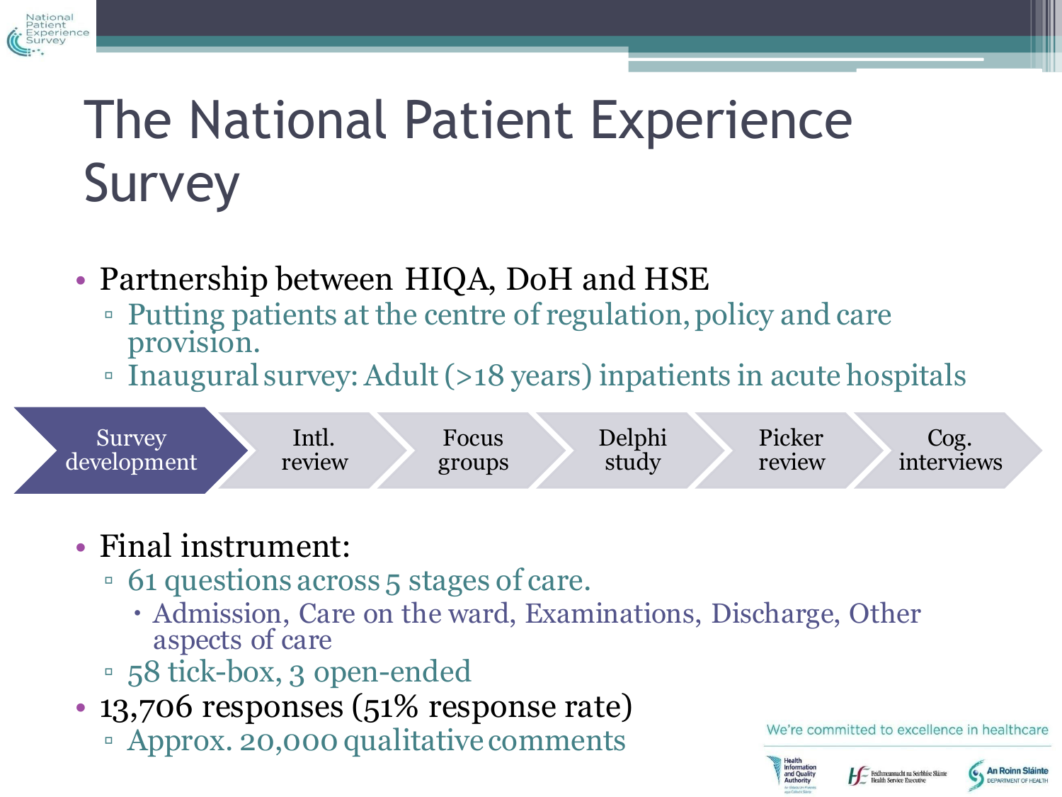# The National Patient Experience **Survey**

- Partnership between HIQA, DoH and HSE
	- Putting patients at the centre of regulation, policy and care provision.
	- Inaugural survey: Adult (>18 years) inpatients in acute hospitals

#### • Final instrument:

Vational

- 61 questions across 5 stages of care.
	- Admission, Care on the ward, Examinations, Discharge, Other aspects of care
- 58 tick-box, 3 open-ended
- 13,706 responses (51% response rate)
	- Approx. 20,000 qualitative comments

We're committed to excellence in healthcare

Feidhmeannacht na Seirbhíse Sláint **Health Service Executive** 

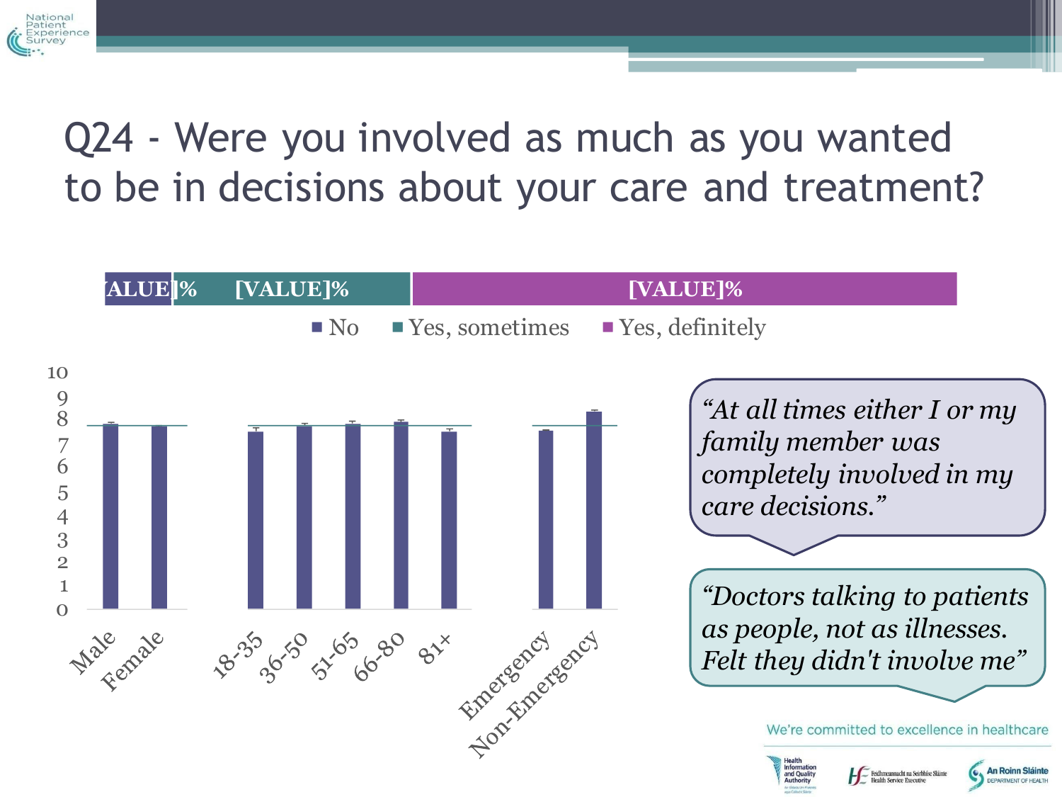

## Q24 - Were you involved as much as you wanted to be in decisions about your care and treatment?

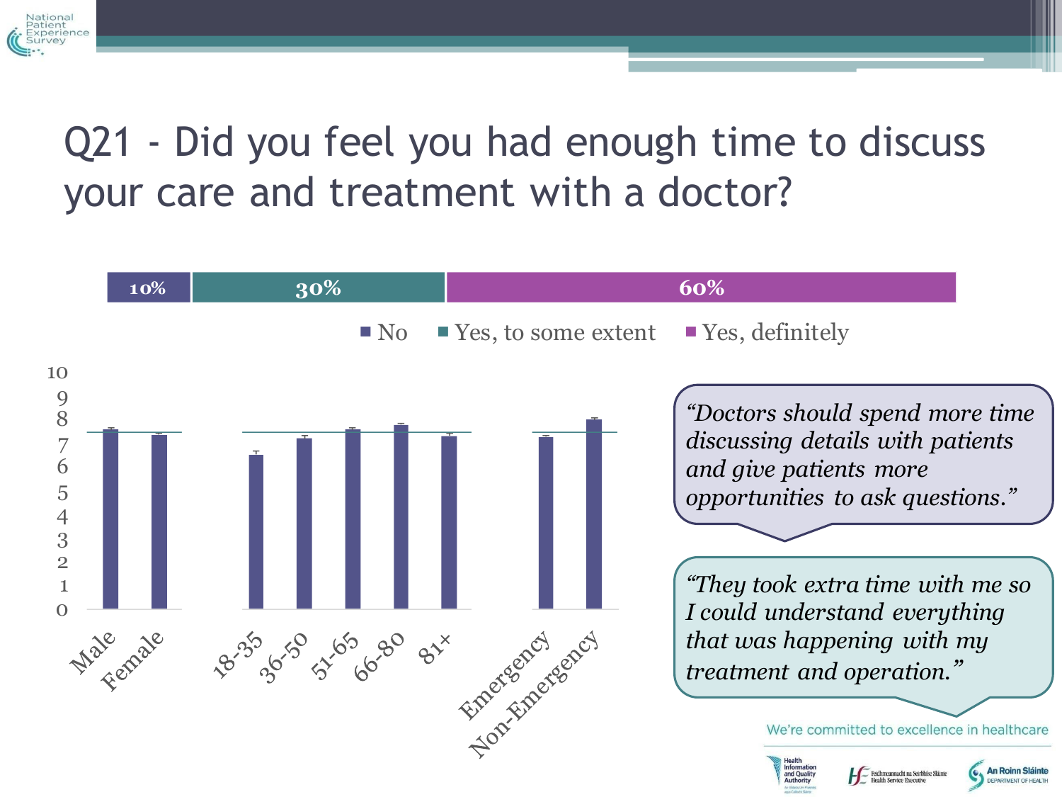

#### Q21 - Did you feel you had enough time to discuss your care and treatment with a doctor?

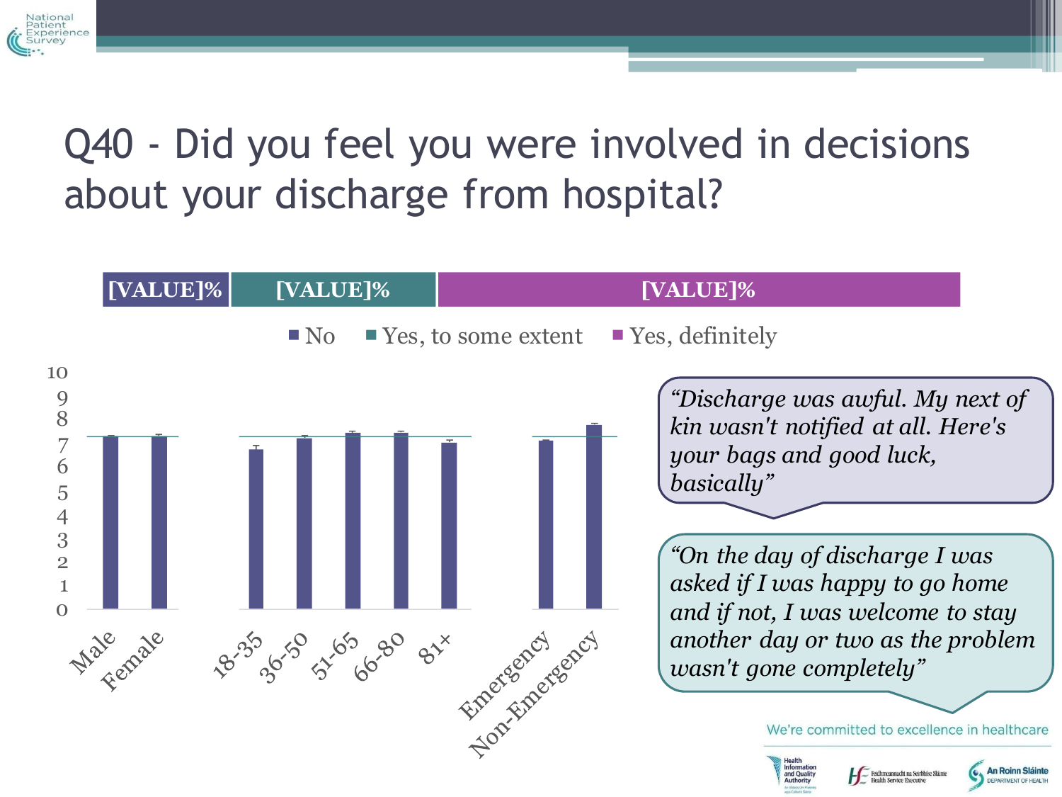

## Q40 - Did you feel you were involved in decisions about your discharge from hospital?

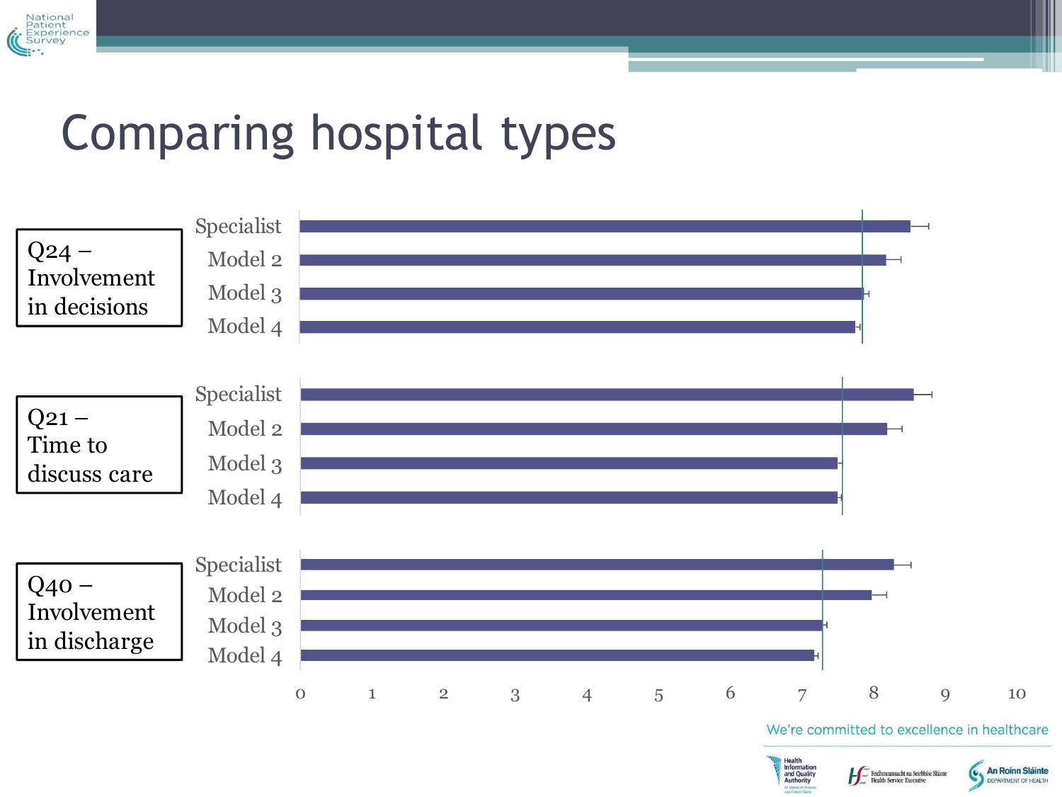

## Comparing hospital types

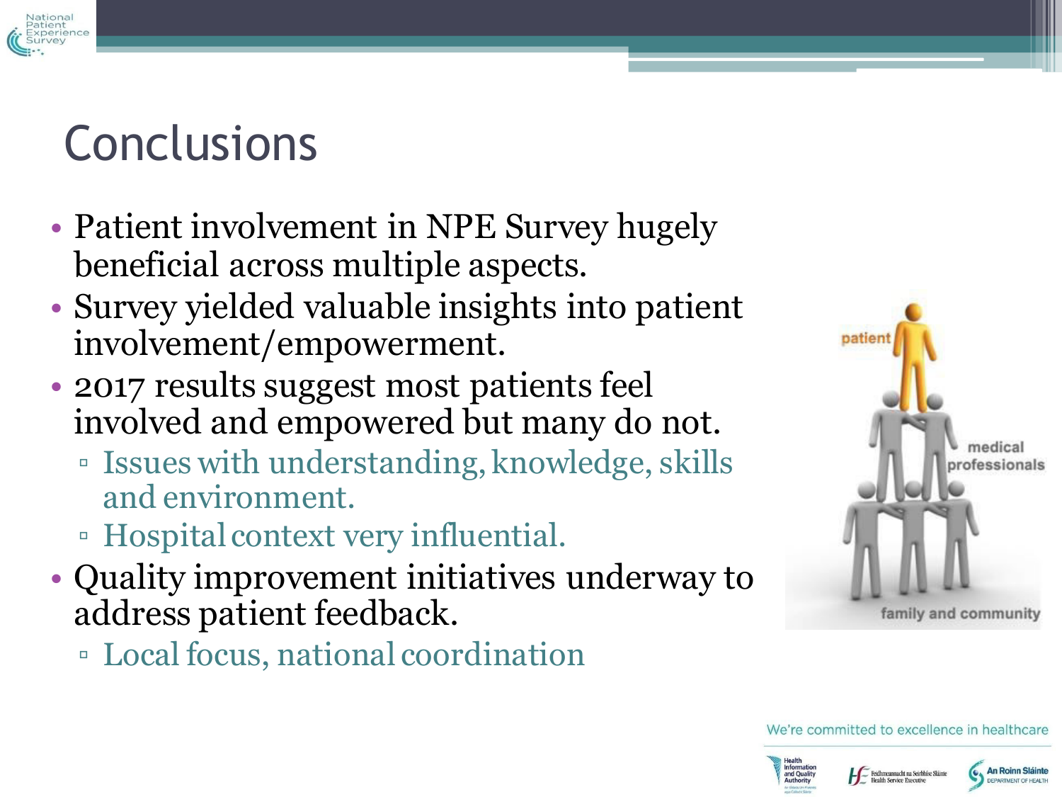

# **Conclusions**

- Patient involvement in NPE Survey hugely beneficial across multiple aspects.
- Survey yielded valuable insights into patient involvement/empowerment.
- 2017 results suggest most patients feel involved and empowered but many do not.
	- Issues with understanding, knowledge, skills and environment.
	- Hospital context very influential.
- Quality improvement initiatives underway to address patient feedback.
	- Local focus, national coordination





Feidhmeannacht na Seirbhíse Sláinte **Health Service Executive** 

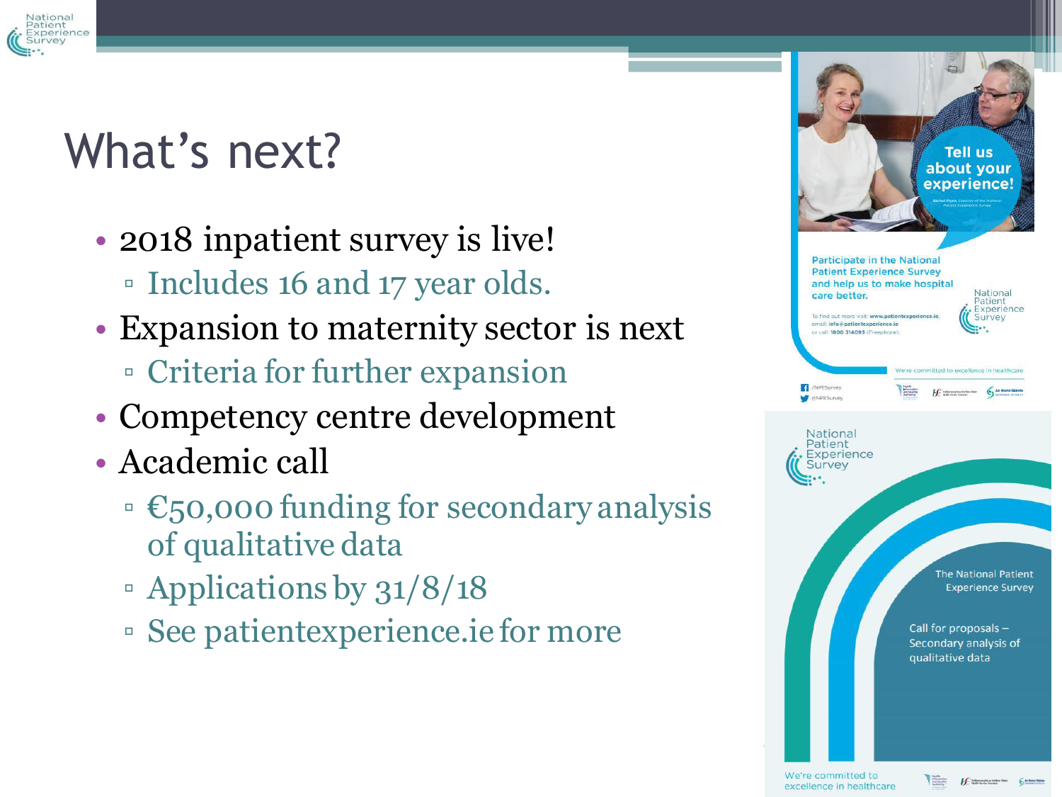

# What's next?

- 2018 inpatient survey is live! ▫ Includes 16 and 17 year olds.
- Expansion to maternity sector is next
	- Criteria for further expansion
- Competency centre development
- Academic call
	- $\cdot \in \mathbb{S}$ 0,000 funding for secondary analysis of qualitative data
	- Applications by 31/8/18
	- See patientexperience.ie for more